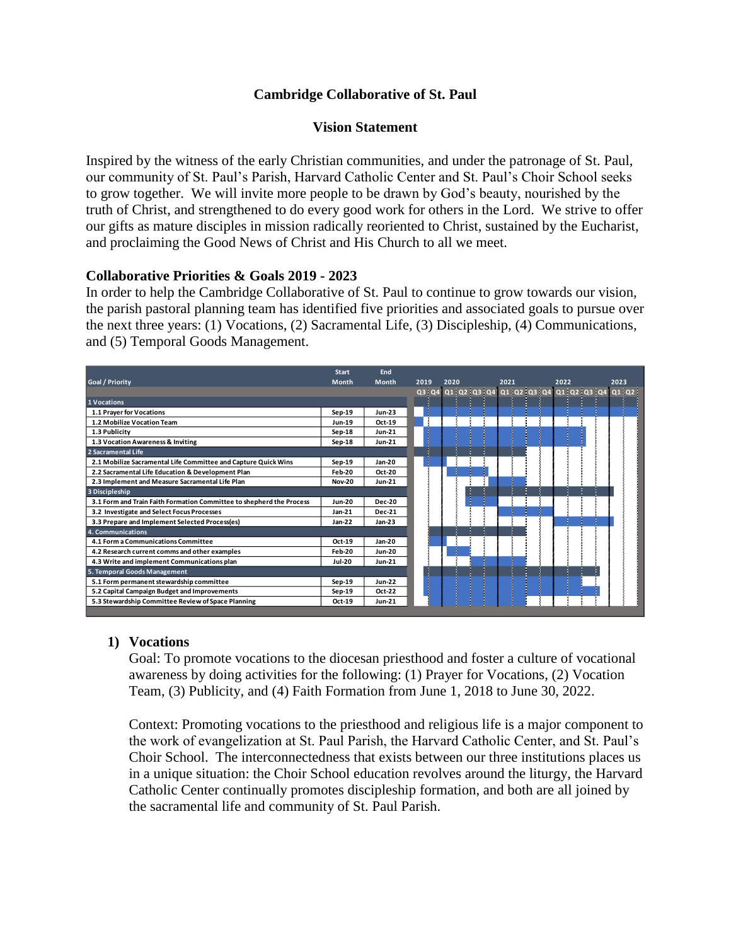#### **Cambridge Collaborative of St. Paul**

#### **Vision Statement**

Inspired by the witness of the early Christian communities, and under the patronage of St. Paul, our community of St. Paul's Parish, Harvard Catholic Center and St. Paul's Choir School seeks to grow together. We will invite more people to be drawn by God's beauty, nourished by the truth of Christ, and strengthened to do every good work for others in the Lord. We strive to offer our gifts as mature disciples in mission radically reoriented to Christ, sustained by the Eucharist, and proclaiming the Good News of Christ and His Church to all we meet.

#### **Collaborative Priorities & Goals 2019 - 2023**

In order to help the Cambridge Collaborative of St. Paul to continue to grow towards our vision, the parish pastoral planning team has identified five priorities and associated goals to pursue over the next three years: (1) Vocations, (2) Sacramental Life, (3) Discipleship, (4) Communications, and (5) Temporal Goods Management.



#### **1) Vocations**

Goal: To promote vocations to the diocesan priesthood and foster a culture of vocational awareness by doing activities for the following: (1) Prayer for Vocations, (2) Vocation Team, (3) Publicity, and (4) Faith Formation from June 1, 2018 to June 30, 2022.

Context: Promoting vocations to the priesthood and religious life is a major component to the work of evangelization at St. Paul Parish, the Harvard Catholic Center, and St. Paul's Choir School. The interconnectedness that exists between our three institutions places us in a unique situation: the Choir School education revolves around the liturgy, the Harvard Catholic Center continually promotes discipleship formation, and both are all joined by the sacramental life and community of St. Paul Parish.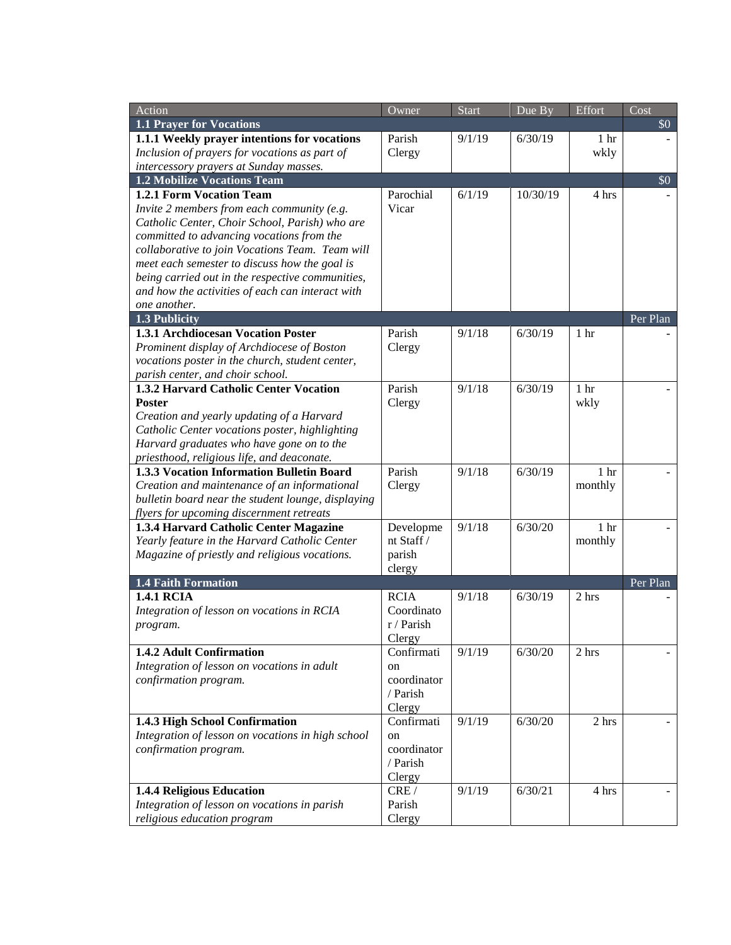| Action                                             | Owner                | <b>Start</b> | Due By   | Effort          | Cost     |
|----------------------------------------------------|----------------------|--------------|----------|-----------------|----------|
| <b>1.1 Prayer for Vocations</b>                    |                      |              |          |                 | \$0      |
| 1.1.1 Weekly prayer intentions for vocations       | Parish               | 9/1/19       | 6/30/19  | 1 <sub>hr</sub> |          |
| Inclusion of prayers for vocations as part of      | Clergy               |              |          | wkly            |          |
| intercessory prayers at Sunday masses.             |                      |              |          |                 |          |
| <b>1.2 Mobilize Vocations Team</b>                 |                      |              |          |                 | \$0      |
| 1.2.1 Form Vocation Team                           | Parochial            | 6/1/19       | 10/30/19 | 4 hrs           |          |
| Invite 2 members from each community (e.g.         | Vicar                |              |          |                 |          |
| Catholic Center, Choir School, Parish) who are     |                      |              |          |                 |          |
| committed to advancing vocations from the          |                      |              |          |                 |          |
| collaborative to join Vocations Team. Team will    |                      |              |          |                 |          |
| meet each semester to discuss how the goal is      |                      |              |          |                 |          |
| being carried out in the respective communities,   |                      |              |          |                 |          |
| and how the activities of each can interact with   |                      |              |          |                 |          |
| one another.<br>1.3 Publicity                      |                      |              |          |                 | Per Plan |
| 1.3.1 Archdiocesan Vocation Poster                 | Parish               | 9/1/18       | 6/30/19  | 1 <sub>hr</sub> |          |
| Prominent display of Archdiocese of Boston         | Clergy               |              |          |                 |          |
| vocations poster in the church, student center,    |                      |              |          |                 |          |
| parish center, and choir school.                   |                      |              |          |                 |          |
| 1.3.2 Harvard Catholic Center Vocation             | Parish               | 9/1/18       | 6/30/19  | 1 <sub>hr</sub> |          |
| Poster                                             | Clergy               |              |          | wkly            |          |
| Creation and yearly updating of a Harvard          |                      |              |          |                 |          |
| Catholic Center vocations poster, highlighting     |                      |              |          |                 |          |
| Harvard graduates who have gone on to the          |                      |              |          |                 |          |
| priesthood, religious life, and deaconate.         |                      |              |          |                 |          |
| 1.3.3 Vocation Information Bulletin Board          | Parish               | 9/1/18       | 6/30/19  | 1 <sub>hr</sub> |          |
| Creation and maintenance of an informational       | Clergy               |              |          | monthly         |          |
| bulletin board near the student lounge, displaying |                      |              |          |                 |          |
| flyers for upcoming discernment retreats           |                      |              |          |                 |          |
| 1.3.4 Harvard Catholic Center Magazine             | Developme            | 9/1/18       | 6/30/20  | 1 <sub>hr</sub> |          |
| Yearly feature in the Harvard Catholic Center      | nt Staff /           |              |          | monthly         |          |
| Magazine of priestly and religious vocations.      | parish               |              |          |                 |          |
|                                                    | clergy               |              |          |                 |          |
| <b>1.4 Faith Formation</b>                         |                      |              |          |                 | Per Plan |
| <b>1.4.1 RCIA</b>                                  | <b>RCIA</b>          | 9/1/18       | 6/30/19  | 2 hrs           |          |
| Integration of lesson on vocations in RCIA         | Coordinato           |              |          |                 |          |
| program.                                           | r / Parish           |              |          |                 |          |
| 1.4.2 Adult Confirmation                           | Clergy<br>Confirmati | 9/1/19       | 6/30/20  | 2 hrs           |          |
| Integration of lesson on vocations in adult        | on                   |              |          |                 |          |
| confirmation program.                              | coordinator          |              |          |                 |          |
|                                                    | / Parish             |              |          |                 |          |
|                                                    | Clergy               |              |          |                 |          |
| 1.4.3 High School Confirmation                     | Confirmati           | 9/1/19       | 6/30/20  | 2 hrs           |          |
| Integration of lesson on vocations in high school  | on                   |              |          |                 |          |
| confirmation program.                              | coordinator          |              |          |                 |          |
|                                                    | / Parish             |              |          |                 |          |
|                                                    | Clergy               |              |          |                 |          |
| 1.4.4 Religious Education                          | CRE/                 | 9/1/19       | 6/30/21  | 4 hrs           |          |
| Integration of lesson on vocations in parish       | Parish               |              |          |                 |          |
| religious education program                        | Clergy               |              |          |                 |          |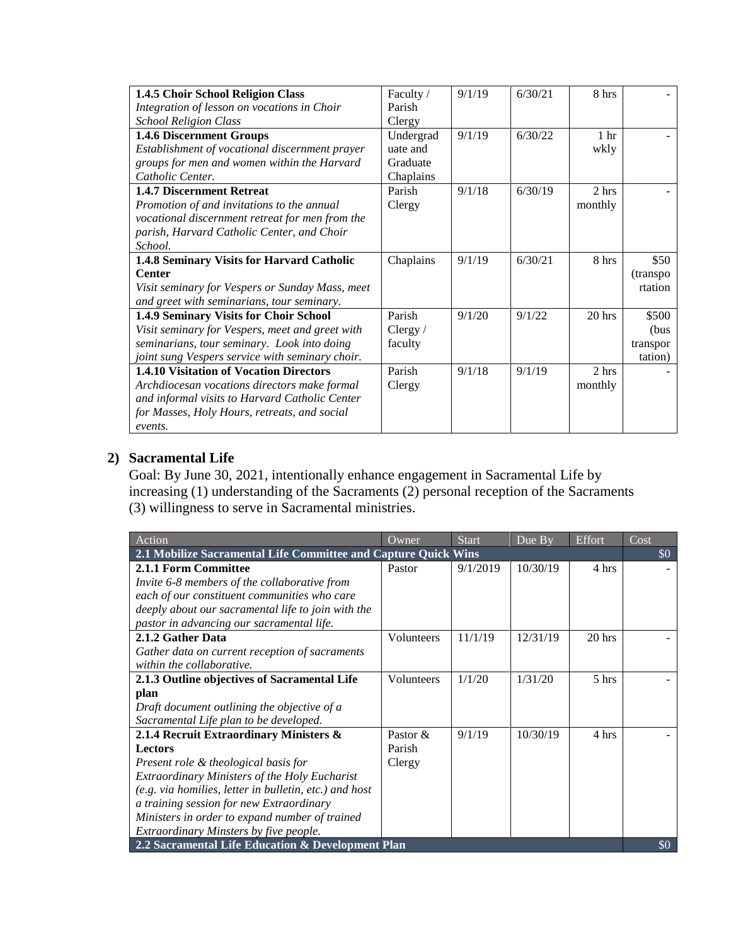| 1.4.5 Choir School Religion Class               | Faculty /  | 9/1/19 | 6/30/21 | 8 hrs           |           |
|-------------------------------------------------|------------|--------|---------|-----------------|-----------|
| Integration of lesson on vocations in Choir     | Parish     |        |         |                 |           |
| <b>School Religion Class</b>                    | Clergy     |        |         |                 |           |
| 1.4.6 Discernment Groups                        | Undergrad  | 9/1/19 | 6/30/22 | 1 <sup>hr</sup> |           |
| Establishment of vocational discernment prayer  | uate and   |        |         | wkly            |           |
| groups for men and women within the Harvard     | Graduate   |        |         |                 |           |
| Catholic Center.                                | Chaplains  |        |         |                 |           |
| <b>1.4.7 Discernment Retreat</b>                | Parish     | 9/1/18 | 6/30/19 | 2 hrs           |           |
| Promotion of and invitations to the annual      | Clergy     |        |         | monthly         |           |
| vocational discernment retreat for men from the |            |        |         |                 |           |
| parish, Harvard Catholic Center, and Choir      |            |        |         |                 |           |
| School.                                         |            |        |         |                 |           |
| 1.4.8 Seminary Visits for Harvard Catholic      | Chaplains  | 9/1/19 | 6/30/21 | 8 hrs           | \$50      |
| <b>Center</b>                                   |            |        |         |                 | (transpo) |
| Visit seminary for Vespers or Sunday Mass, meet |            |        |         |                 | rtation   |
| and greet with seminarians, tour seminary.      |            |        |         |                 |           |
| 1.4.9 Seminary Visits for Choir School          | Parish     | 9/1/20 | 9/1/22  | 20 hrs          | \$500     |
| Visit seminary for Vespers, meet and greet with | Clergy $/$ |        |         |                 | (bus      |
| seminarians, tour seminary. Look into doing     | faculty    |        |         |                 | transpor  |
| joint sung Vespers service with seminary choir. |            |        |         |                 | tation)   |
| <b>1.4.10 Visitation of Vocation Directors</b>  | Parish     | 9/1/18 | 9/1/19  | 2 hrs           |           |
| Archdiocesan vocations directors make formal    | Clergy     |        |         | monthly         |           |
| and informal visits to Harvard Catholic Center  |            |        |         |                 |           |
| for Masses, Holy Hours, retreats, and social    |            |        |         |                 |           |
| events.                                         |            |        |         |                 |           |

### **2) Sacramental Life**

Goal: By June 30, 2021, intentionally enhance engagement in Sacramental Life by increasing (1) understanding of the Sacraments (2) personal reception of the Sacraments (3) willingness to serve in Sacramental ministries.

| Action                                                         | Owner      | <b>Start</b> | $\overline{D}$ ue $\overline{B}$ y | Effort   | Cost                      |
|----------------------------------------------------------------|------------|--------------|------------------------------------|----------|---------------------------|
| 2.1 Mobilize Sacramental Life Committee and Capture Quick Wins |            |              |                                    |          | $\boldsymbol{\mathsf{S}}$ |
| 2.1.1 Form Committee                                           | Pastor     | 9/1/2019     | 10/30/19                           | 4 hrs    |                           |
| Invite 6-8 members of the collaborative from                   |            |              |                                    |          |                           |
| each of our constituent communities who care                   |            |              |                                    |          |                           |
| deeply about our sacramental life to join with the             |            |              |                                    |          |                           |
| pastor in advancing our sacramental life.                      |            |              |                                    |          |                           |
| 2.1.2 Gather Data                                              | Volunteers | 11/1/19      | 12/31/19                           | $20$ hrs |                           |
| Gather data on current reception of sacraments                 |            |              |                                    |          |                           |
| within the collaborative.                                      |            |              |                                    |          |                           |
| 2.1.3 Outline objectives of Sacramental Life                   | Volunteers | 1/1/20       | 1/31/20                            | 5 hrs    |                           |
| plan                                                           |            |              |                                    |          |                           |
| Draft document outlining the objective of a                    |            |              |                                    |          |                           |
| Sacramental Life plan to be developed.                         |            |              |                                    |          |                           |
| 2.1.4 Recruit Extraordinary Ministers &                        | Pastor &   | 9/1/19       | 10/30/19                           | 4 hrs    |                           |
| Lectors                                                        | Parish     |              |                                    |          |                           |
| Present role & theological basis for                           | Clergy     |              |                                    |          |                           |
| Extraordinary Ministers of the Holy Eucharist                  |            |              |                                    |          |                           |
| (e.g. via homilies, letter in bulletin, etc.) and host         |            |              |                                    |          |                           |
| a training session for new Extraordinary                       |            |              |                                    |          |                           |
| Ministers in order to expand number of trained                 |            |              |                                    |          |                           |
| Extraordinary Minsters by five people.                         |            |              |                                    |          |                           |
| 2.2 Sacramental Life Education & Development Plan              |            |              |                                    |          | \$0                       |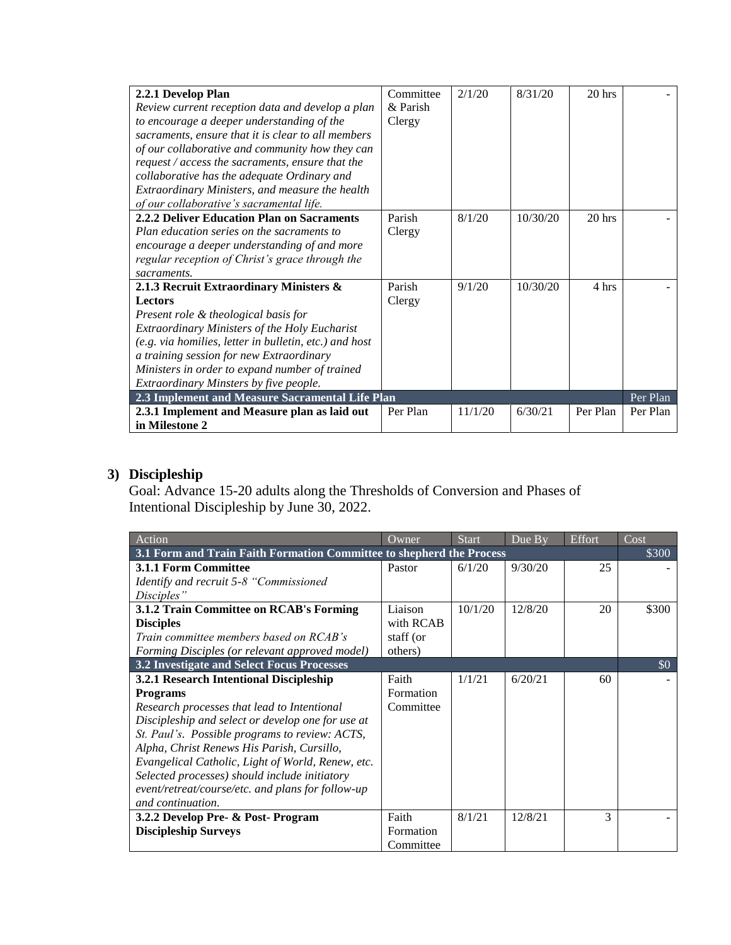| 2.2.1 Develop Plan                                          | Committee | 2/1/20  | 8/31/20  | 20 hrs   |          |
|-------------------------------------------------------------|-----------|---------|----------|----------|----------|
| Review current reception data and develop a plan            | & Parish  |         |          |          |          |
| to encourage a deeper understanding of the                  | Clergy    |         |          |          |          |
| sacraments, ensure that it is clear to all members          |           |         |          |          |          |
| of our collaborative and community how they can             |           |         |          |          |          |
| request / access the sacraments, ensure that the            |           |         |          |          |          |
| collaborative has the adequate Ordinary and                 |           |         |          |          |          |
| Extraordinary Ministers, and measure the health             |           |         |          |          |          |
| of our collaborative's sacramental life.                    |           |         |          |          |          |
| 2.2.2 Deliver Education Plan on Sacraments                  | Parish    | 8/1/20  | 10/30/20 | $20$ hrs |          |
| Plan education series on the sacraments to                  | Clergy    |         |          |          |          |
| encourage a deeper understanding of and more                |           |         |          |          |          |
| regular reception of Christ's grace through the             |           |         |          |          |          |
| sacraments.                                                 |           |         |          |          |          |
| 2.1.3 Recruit Extraordinary Ministers &                     | Parish    | 9/1/20  | 10/30/20 | 4 hrs    |          |
| <b>Lectors</b>                                              | Clergy    |         |          |          |          |
| Present role & theological basis for                        |           |         |          |          |          |
| Extraordinary Ministers of the Holy Eucharist               |           |         |          |          |          |
| (e.g. via homilies, letter in bulletin, etc.) and host      |           |         |          |          |          |
| a training session for new Extraordinary                    |           |         |          |          |          |
| Ministers in order to expand number of trained              |           |         |          |          |          |
| Extraordinary Minsters by five people.                      |           |         |          |          |          |
| 2.3 Implement and Measure Sacramental Life Plan<br>Per Plan |           |         |          |          |          |
| 2.3.1 Implement and Measure plan as laid out                | Per Plan  | 11/1/20 | 6/30/21  | Per Plan | Per Plan |
| in Milestone 2                                              |           |         |          |          |          |

# **3) Discipleship**

Goal: Advance 15-20 adults along the Thresholds of Conversion and Phases of Intentional Discipleship by June 30, 2022.

| Action                                                               | Owner     | <b>Start</b> | Due By  | Effort | Cost  |
|----------------------------------------------------------------------|-----------|--------------|---------|--------|-------|
| 3.1 Form and Train Faith Formation Committee to shepherd the Process |           |              |         |        | \$300 |
| <b>3.1.1 Form Committee</b>                                          | Pastor    | 6/1/20       | 9/30/20 | 25     |       |
| Identify and recruit 5-8 "Commissioned                               |           |              |         |        |       |
| Disciples"                                                           |           |              |         |        |       |
| 3.1.2 Train Committee on RCAB's Forming                              | Liaison   | 10/1/20      | 12/8/20 | 20     | \$300 |
| <b>Disciples</b>                                                     | with RCAB |              |         |        |       |
| Train committee members based on RCAB's                              | staff (or |              |         |        |       |
| Forming Disciples (or relevant approved model)                       | others)   |              |         |        |       |
| 3.2 Investigate and Select Focus Processes                           |           |              |         |        | \$0   |
| 3.2.1 Research Intentional Discipleship                              | Faith     | 1/1/21       | 6/20/21 | 60     |       |
| <b>Programs</b>                                                      | Formation |              |         |        |       |
| Research processes that lead to Intentional                          | Committee |              |         |        |       |
| Discipleship and select or develop one for use at                    |           |              |         |        |       |
| St. Paul's. Possible programs to review: ACTS,                       |           |              |         |        |       |
| Alpha, Christ Renews His Parish, Cursillo,                           |           |              |         |        |       |
| Evangelical Catholic, Light of World, Renew, etc.                    |           |              |         |        |       |
| Selected processes) should include initiatory                        |           |              |         |        |       |
| event/retreat/course/etc. and plans for follow-up                    |           |              |         |        |       |
| and continuation.                                                    |           |              |         |        |       |
| 3.2.2 Develop Pre- & Post-Program                                    | Faith     | 8/1/21       | 12/8/21 | 3      |       |
| <b>Discipleship Surveys</b>                                          | Formation |              |         |        |       |
|                                                                      | Committee |              |         |        |       |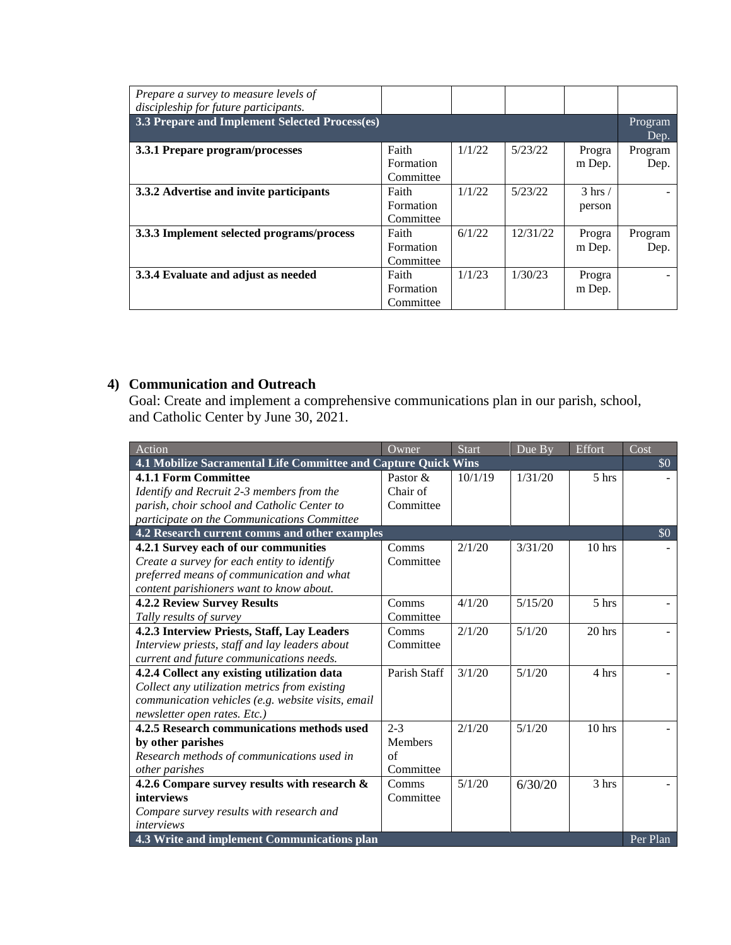| Prepare a survey to measure levels of<br>discipleship for future participants. |                                        |        |          |                           |                 |
|--------------------------------------------------------------------------------|----------------------------------------|--------|----------|---------------------------|-----------------|
| 3.3 Prepare and Implement Selected Process(es)                                 |                                        |        |          |                           | Program<br>Dep. |
| 3.3.1 Prepare program/processes                                                | Faith<br><b>Formation</b><br>Committee | 1/1/22 | 5/23/22  | Progra<br>m Dep.          | Program<br>Dep. |
| 3.3.2 Advertise and invite participants                                        | Faith<br><b>Formation</b><br>Committee | 1/1/22 | 5/23/22  | $3 \text{ hrs}$<br>person |                 |
| 3.3.3 Implement selected programs/process                                      | Faith<br>Formation<br>Committee        | 6/1/22 | 12/31/22 | Progra<br>m Dep.          | Program<br>Dep. |
| 3.3.4 Evaluate and adjust as needed                                            | Faith<br>Formation<br>Committee        | 1/1/23 | 1/30/23  | Progra<br>m Dep.          |                 |

## **4) Communication and Outreach**

Goal: Create and implement a comprehensive communications plan in our parish, school, and Catholic Center by June 30, 2021.

| Action                                                         | Owner          | <b>Start</b> | Due By  | Effort           | $\overline{\text{Cost}}$ |
|----------------------------------------------------------------|----------------|--------------|---------|------------------|--------------------------|
| 4.1 Mobilize Sacramental Life Committee and Capture Quick Wins |                |              |         |                  | \$0                      |
| 4.1.1 Form Committee                                           | Pastor &       | 10/1/19      | 1/31/20 | 5 hrs            |                          |
| Identify and Recruit 2-3 members from the                      | Chair of       |              |         |                  |                          |
| parish, choir school and Catholic Center to                    | Committee      |              |         |                  |                          |
| participate on the Communications Committee                    |                |              |         |                  |                          |
| 4.2 Research current comms and other examples                  |                |              |         |                  | \$0                      |
| 4.2.1 Survey each of our communities                           | Comms          | 2/1/20       | 3/31/20 | $10$ hrs         |                          |
| Create a survey for each entity to identify                    | Committee      |              |         |                  |                          |
| preferred means of communication and what                      |                |              |         |                  |                          |
| content parishioners want to know about.                       |                |              |         |                  |                          |
| <b>4.2.2 Review Survey Results</b>                             | Comms          | 4/1/20       | 5/15/20 | 5 <sub>hrs</sub> |                          |
| Tally results of survey                                        | Committee      |              |         |                  |                          |
| 4.2.3 Interview Priests, Staff, Lay Leaders                    | Comms          | 2/1/20       | 5/1/20  | $20$ hrs         |                          |
| Interview priests, staff and lay leaders about                 | Committee      |              |         |                  |                          |
| current and future communications needs.                       |                |              |         |                  |                          |
| 4.2.4 Collect any existing utilization data                    | Parish Staff   | 3/1/20       | 5/1/20  | 4 hrs            |                          |
| Collect any utilization metrics from existing                  |                |              |         |                  |                          |
| communication vehicles (e.g. website visits, email             |                |              |         |                  |                          |
| newsletter open rates. Etc.)                                   |                |              |         |                  |                          |
| 4.2.5 Research communications methods used                     | $2 - 3$        | 2/1/20       | 5/1/20  | $10$ hrs         |                          |
| by other parishes                                              | <b>Members</b> |              |         |                  |                          |
| Research methods of communications used in                     | of             |              |         |                  |                          |
| other parishes                                                 | Committee      |              |         |                  |                          |
| 4.2.6 Compare survey results with research &                   | Comms          | 5/1/20       | 6/30/20 | 3 hrs            |                          |
| interviews                                                     | Committee      |              |         |                  |                          |
| Compare survey results with research and                       |                |              |         |                  |                          |
| <i>interviews</i>                                              |                |              |         |                  |                          |
| 4.3 Write and implement Communications plan                    |                |              |         |                  | Per Plan                 |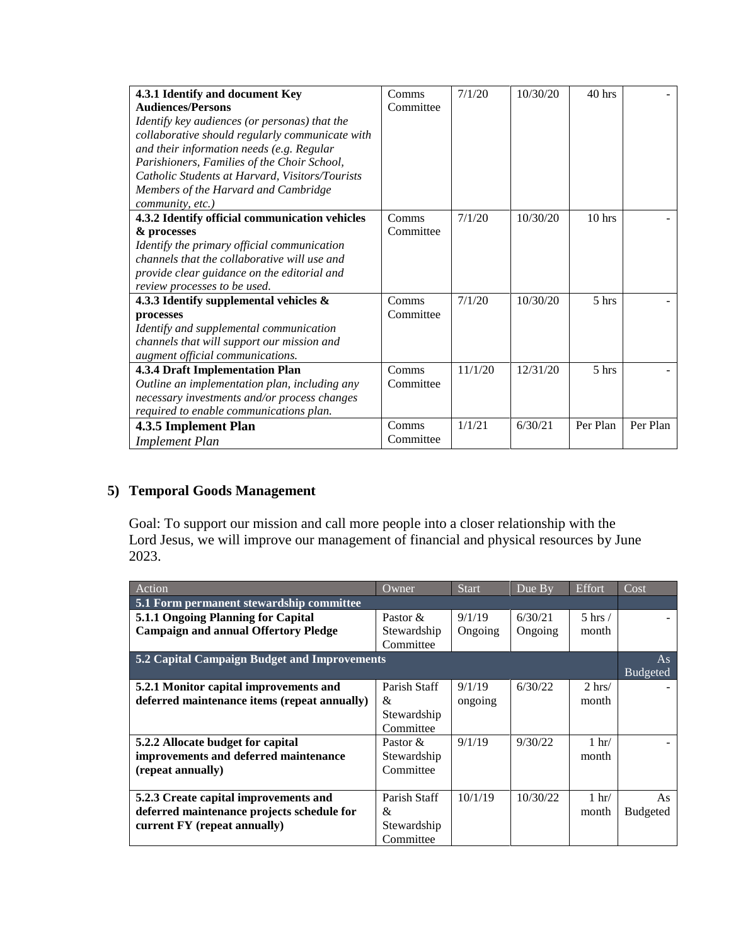| 4.3.1 Identify and document Key                 | Comms     | 7/1/20  | 10/30/20 | $40$ hrs |          |
|-------------------------------------------------|-----------|---------|----------|----------|----------|
| <b>Audiences/Persons</b>                        | Committee |         |          |          |          |
| Identify key audiences (or personas) that the   |           |         |          |          |          |
| collaborative should regularly communicate with |           |         |          |          |          |
| and their information needs (e.g. Regular       |           |         |          |          |          |
| Parishioners, Families of the Choir School,     |           |         |          |          |          |
| Catholic Students at Harvard, Visitors/Tourists |           |         |          |          |          |
| Members of the Harvard and Cambridge            |           |         |          |          |          |
| community, etc.)                                |           |         |          |          |          |
| 4.3.2 Identify official communication vehicles  | Comms     | 7/1/20  | 10/30/20 | $10$ hrs |          |
| & processes                                     | Committee |         |          |          |          |
| Identify the primary official communication     |           |         |          |          |          |
| channels that the collaborative will use and    |           |         |          |          |          |
| provide clear guidance on the editorial and     |           |         |          |          |          |
| review processes to be used.                    |           |         |          |          |          |
| 4.3.3 Identify supplemental vehicles &          | Comms     | 7/1/20  | 10/30/20 | 5 hrs    |          |
| processes                                       | Committee |         |          |          |          |
| Identify and supplemental communication         |           |         |          |          |          |
| channels that will support our mission and      |           |         |          |          |          |
| augment official communications.                |           |         |          |          |          |
| <b>4.3.4 Draft Implementation Plan</b>          | Comms     | 11/1/20 | 12/31/20 | 5 hrs    |          |
| Outline an implementation plan, including any   | Committee |         |          |          |          |
| necessary investments and/or process changes    |           |         |          |          |          |
| required to enable communications plan.         |           |         |          |          |          |
| 4.3.5 Implement Plan                            | Comms     | 1/1/21  | 6/30/21  | Per Plan | Per Plan |
| <b>Implement Plan</b>                           | Committee |         |          |          |          |

### **5) Temporal Goods Management**

Goal: To support our mission and call more people into a closer relationship with the Lord Jesus, we will improve our management of financial and physical resources by June 2023.

| Action                                       | $Q$ wner     | <b>Start</b> | Due By   | Effort          | Cost            |
|----------------------------------------------|--------------|--------------|----------|-----------------|-----------------|
| 5.1 Form permanent stewardship committee     |              |              |          |                 |                 |
| 5.1.1 Ongoing Planning for Capital           | Pastor $\&$  | 9/1/19       | 6/30/21  | $5$ hrs $/$     |                 |
| <b>Campaign and annual Offertory Pledge</b>  | Stewardship  | Ongoing      | Ongoing  | month           |                 |
|                                              | Committee    |              |          |                 |                 |
| 5.2 Capital Campaign Budget and Improvements |              |              |          |                 |                 |
|                                              |              |              |          |                 | <b>Budgeted</b> |
| 5.2.1 Monitor capital improvements and       | Parish Staff | 9/1/19       | 6/30/22  | $2 \text{ hrs}$ |                 |
| deferred maintenance items (repeat annually) | &            | ongoing      |          | month           |                 |
|                                              | Stewardship  |              |          |                 |                 |
|                                              | Committee    |              |          |                 |                 |
| 5.2.2 Allocate budget for capital            | Pastor $\&$  | 9/1/19       | 9/30/22  | $1 \text{ hr}$  |                 |
| improvements and deferred maintenance        | Stewardship  |              |          | month           |                 |
| (repeat annually)                            | Committee    |              |          |                 |                 |
|                                              |              |              |          |                 |                 |
| 5.2.3 Create capital improvements and        | Parish Staff | 10/1/19      | 10/30/22 | $1 \text{ hr}$  | As              |
| deferred maintenance projects schedule for   | &            |              |          | month           | <b>Budgeted</b> |
| current FY (repeat annually)                 | Stewardship  |              |          |                 |                 |
|                                              | Committee    |              |          |                 |                 |